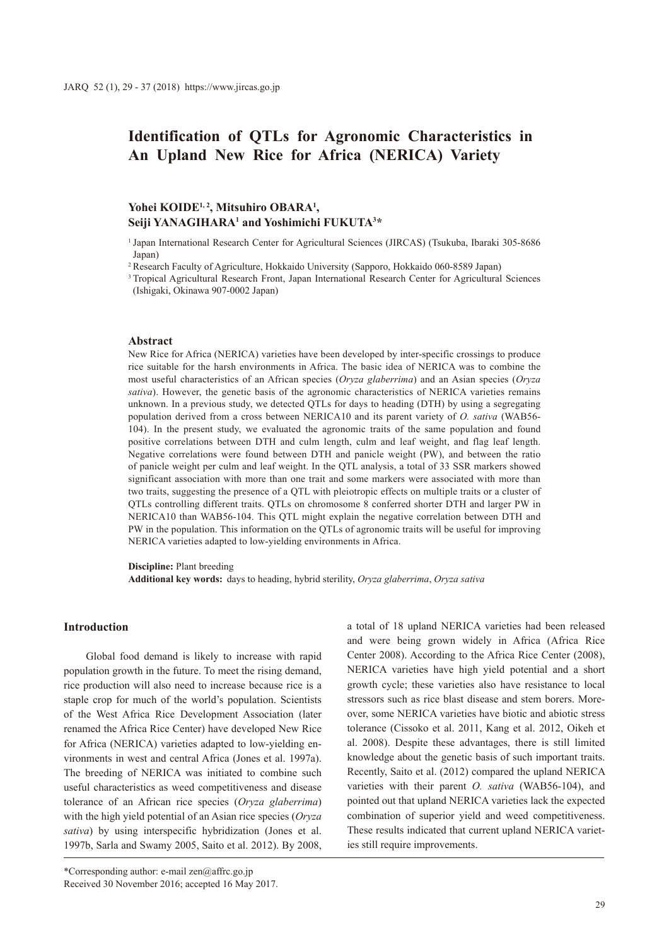# **Identification of QTLs for Agronomic Characteristics in An Upland New Rice for Africa (NERICA) Variety**

# Yohei KOIDE<sup>1,2</sup>, Mitsuhiro OBARA<sup>1</sup>, Seiji YANAGIHARA<sup>1</sup> and Yoshimichi FUKUTA<sup>3\*</sup>

<sup>1</sup> Japan International Research Center for Agricultural Sciences (JIRCAS) (Tsukuba, Ibaraki 305-8686 Japan)

<sup>2</sup> Research Faculty of Agriculture, Hokkaido University (Sapporo, Hokkaido 060-8589 Japan)

<sup>3</sup> Tropical Agricultural Research Front, Japan International Research Center for Agricultural Sciences (Ishigaki, Okinawa 907-0002 Japan)

#### **Abstract**

New Rice for Africa (NERICA) varieties have been developed by inter-specific crossings to produce rice suitable for the harsh environments in Africa. The basic idea of NERICA was to combine the most useful characteristics of an African species (*Oryza glaberrima*) and an Asian species (*Oryza sativa*). However, the genetic basis of the agronomic characteristics of NERICA varieties remains unknown. In a previous study, we detected QTLs for days to heading (DTH) by using a segregating population derived from a cross between NERICA10 and its parent variety of *O. sativa* (WAB56- 104). In the present study, we evaluated the agronomic traits of the same population and found positive correlations between DTH and culm length, culm and leaf weight, and flag leaf length. Negative correlations were found between DTH and panicle weight (PW), and between the ratio of panicle weight per culm and leaf weight. In the QTL analysis, a total of 33 SSR markers showed significant association with more than one trait and some markers were associated with more than two traits, suggesting the presence of a QTL with pleiotropic effects on multiple traits or a cluster of QTLs controlling different traits. QTLs on chromosome 8 conferred shorter DTH and larger PW in NERICA10 than WAB56-104. This QTL might explain the negative correlation between DTH and PW in the population. This information on the QTLs of agronomic traits will be useful for improving NERICA varieties adapted to low-yielding environments in Africa.

**Discipline:** Plant breeding

**Additional key words:** days to heading, hybrid sterility, *Oryza glaberrima*, *Oryza sativa*

#### **Introduction**

Global food demand is likely to increase with rapid population growth in the future. To meet the rising demand, rice production will also need to increase because rice is a staple crop for much of the world's population. Scientists of the West Africa Rice Development Association (later renamed the Africa Rice Center) have developed New Rice for Africa (NERICA) varieties adapted to low-yielding environments in west and central Africa (Jones et al. 1997a). The breeding of NERICA was initiated to combine such useful characteristics as weed competitiveness and disease tolerance of an African rice species (*Oryza glaberrima*) with the high yield potential of an Asian rice species (*Oryza sativa*) by using interspecific hybridization (Jones et al. 1997b, Sarla and Swamy 2005, Saito et al. 2012). By 2008,

\*Corresponding author: e-mail zen@affrc.go.jp Received 30 November 2016; accepted 16 May 2017. a total of 18 upland NERICA varieties had been released and were being grown widely in Africa (Africa Rice Center 2008). According to the Africa Rice Center (2008), NERICA varieties have high yield potential and a short growth cycle; these varieties also have resistance to local stressors such as rice blast disease and stem borers. Moreover, some NERICA varieties have biotic and abiotic stress tolerance (Cissoko et al. 2011, Kang et al. 2012, Oikeh et al. 2008). Despite these advantages, there is still limited knowledge about the genetic basis of such important traits. Recently, Saito et al. (2012) compared the upland NERICA varieties with their parent *O. sativa* (WAB56-104), and pointed out that upland NERICA varieties lack the expected combination of superior yield and weed competitiveness. These results indicated that current upland NERICA varieties still require improvements.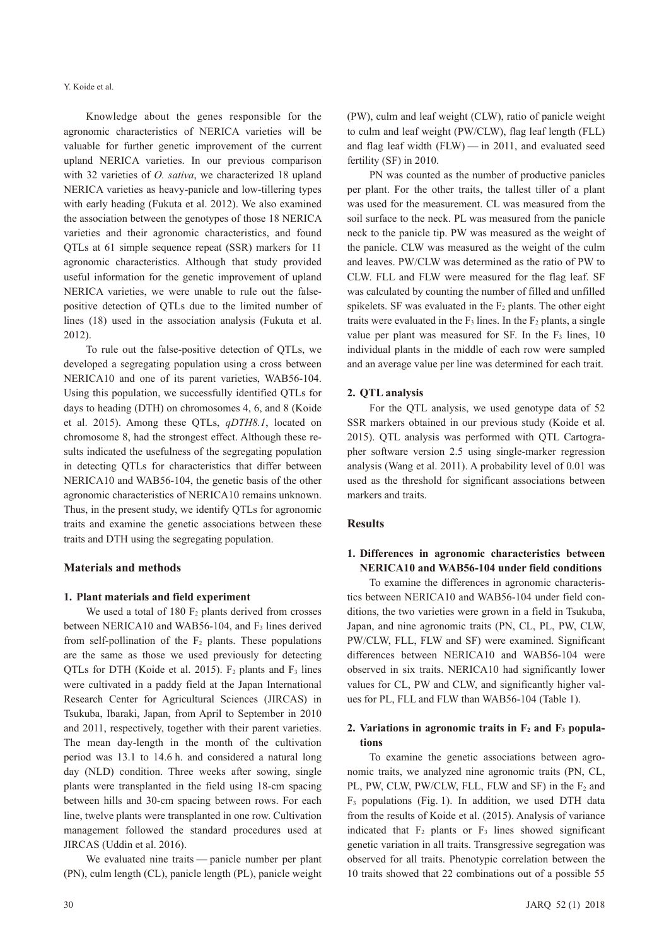Knowledge about the genes responsible for the agronomic characteristics of NERICA varieties will be valuable for further genetic improvement of the current upland NERICA varieties. In our previous comparison with 32 varieties of *O. sativa*, we characterized 18 upland NERICA varieties as heavy-panicle and low-tillering types with early heading (Fukuta et al. 2012). We also examined the association between the genotypes of those 18 NERICA varieties and their agronomic characteristics, and found QTLs at 61 simple sequence repeat (SSR) markers for 11 agronomic characteristics. Although that study provided useful information for the genetic improvement of upland NERICA varieties, we were unable to rule out the falsepositive detection of QTLs due to the limited number of lines (18) used in the association analysis (Fukuta et al. 2012).

To rule out the false-positive detection of QTLs, we developed a segregating population using a cross between NERICA10 and one of its parent varieties, WAB56-104. Using this population, we successfully identified QTLs for days to heading (DTH) on chromosomes 4, 6, and 8 (Koide et al. 2015). Among these QTLs, *qDTH8.1*, located on chromosome 8, had the strongest effect. Although these results indicated the usefulness of the segregating population in detecting QTLs for characteristics that differ between NERICA10 and WAB56-104, the genetic basis of the other agronomic characteristics of NERICA10 remains unknown. Thus, in the present study, we identify QTLs for agronomic traits and examine the genetic associations between these traits and DTH using the segregating population.

#### **Materials and methods**

#### **1. Plant materials and field experiment**

We used a total of  $180 \text{ F}_2$  plants derived from crosses between NERICA10 and WAB56-104, and  $F_3$  lines derived from self-pollination of the  $F_2$  plants. These populations are the same as those we used previously for detecting QTLs for DTH (Koide et al. 2015).  $F_2$  plants and  $F_3$  lines were cultivated in a paddy field at the Japan International Research Center for Agricultural Sciences (JIRCAS) in Tsukuba, Ibaraki, Japan, from April to September in 2010 and 2011, respectively, together with their parent varieties. The mean day-length in the month of the cultivation period was 13.1 to 14.6 h. and considered a natural long day (NLD) condition. Three weeks after sowing, single plants were transplanted in the field using 18-cm spacing between hills and 30-cm spacing between rows. For each line, twelve plants were transplanted in one row. Cultivation management followed the standard procedures used at JIRCAS (Uddin et al. 2016).

We evaluated nine traits — panicle number per plant (PN), culm length (CL), panicle length (PL), panicle weight (PW), culm and leaf weight (CLW), ratio of panicle weight to culm and leaf weight (PW/CLW), flag leaf length (FLL) and flag leaf width (FLW) — in 2011, and evaluated seed fertility (SF) in 2010.

PN was counted as the number of productive panicles per plant. For the other traits, the tallest tiller of a plant was used for the measurement. CL was measured from the soil surface to the neck. PL was measured from the panicle neck to the panicle tip. PW was measured as the weight of the panicle. CLW was measured as the weight of the culm and leaves. PW/CLW was determined as the ratio of PW to CLW. FLL and FLW were measured for the flag leaf. SF was calculated by counting the number of filled and unfilled spikelets. SF was evaluated in the  $F_2$  plants. The other eight traits were evaluated in the  $F_3$  lines. In the  $F_2$  plants, a single value per plant was measured for SF. In the  $F_3$  lines, 10 individual plants in the middle of each row were sampled and an average value per line was determined for each trait.

### **2. QTL analysis**

For the QTL analysis, we used genotype data of 52 SSR markers obtained in our previous study (Koide et al. 2015). QTL analysis was performed with QTL Cartographer software version 2.5 using single-marker regression analysis (Wang et al. 2011). A probability level of 0.01 was used as the threshold for significant associations between markers and traits.

## **Results**

## **1. Differences in agronomic characteristics between NERICA10 and WAB56-104 under field conditions**

To examine the differences in agronomic characteristics between NERICA10 and WAB56-104 under field conditions, the two varieties were grown in a field in Tsukuba, Japan, and nine agronomic traits (PN, CL, PL, PW, CLW, PW/CLW, FLL, FLW and SF) were examined. Significant differences between NERICA10 and WAB56-104 were observed in six traits. NERICA10 had significantly lower values for CL, PW and CLW, and significantly higher values for PL, FLL and FLW than WAB56-104 (Table 1).

### 2. Variations in agronomic traits in  $F_2$  and  $F_3$  popula**tions**

To examine the genetic associations between agronomic traits, we analyzed nine agronomic traits (PN, CL, PL, PW, CLW, PW/CLW, FLL, FLW and SF) in the F<sub>2</sub> and  $F_3$  populations (Fig. 1). In addition, we used DTH data from the results of Koide et al. (2015). Analysis of variance indicated that  $F_2$  plants or  $F_3$  lines showed significant genetic variation in all traits. Transgressive segregation was observed for all traits. Phenotypic correlation between the 10 traits showed that 22 combinations out of a possible 55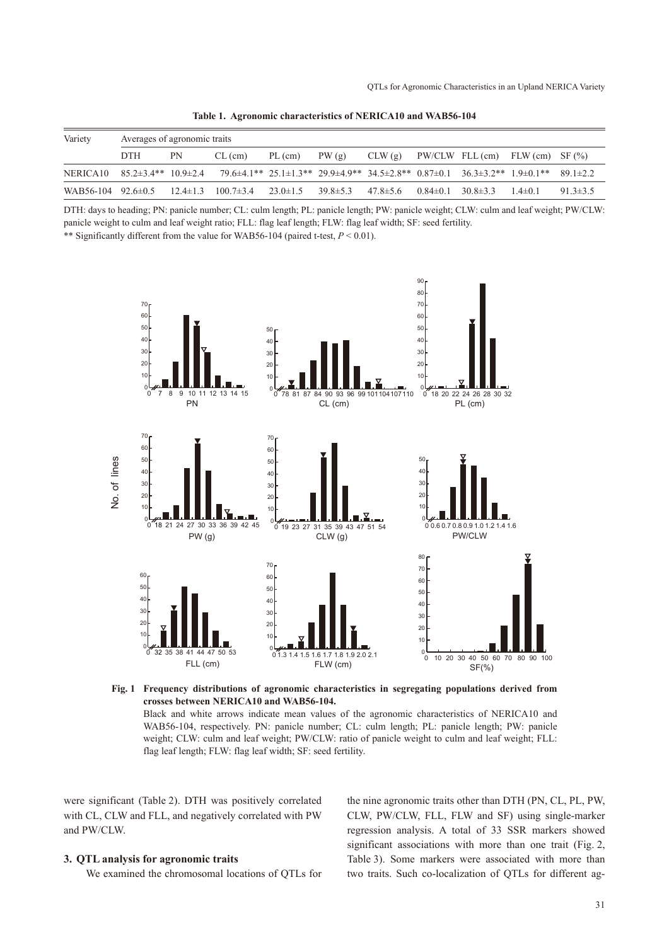| Variety                                | Averages of agronomic traits |    |                                                                                                                                      |                               |       |                |                               |                                          |               |                |
|----------------------------------------|------------------------------|----|--------------------------------------------------------------------------------------------------------------------------------------|-------------------------------|-------|----------------|-------------------------------|------------------------------------------|---------------|----------------|
|                                        | <b>DTH</b>                   | PN | $CL$ (cm)                                                                                                                            | PL (cm)                       | PW(g) | CLW(g)         |                               | $PW/CLW$ FLL $(cm)$ FLW $(cm)$ SF $(\%)$ |               |                |
| NERICA 10 $85.2\pm3.4**$ 10.9 $\pm2.4$ |                              |    | $79.6\pm4.1^{**}$ $25.1\pm1.3^{**}$ $29.9\pm4.9^{**}$ $34.5\pm2.8^{**}$ $0.87\pm0.1$ $36.3\pm3.2^{**}$ $1.9\pm0.1^{**}$ $89.1\pm2.2$ |                               |       |                |                               |                                          |               |                |
| WAB56-104 92.6 $\pm$ 0.5               |                              |    | $12.4 \pm 1.3$ $100.7 \pm 3.4$                                                                                                       | $23.0 \pm 1.5$ $39.8 \pm 5.3$ |       | $47.8 \pm 5.6$ | $0.84 \pm 0.1$ $30.8 \pm 3.3$ |                                          | $1.4 \pm 0.1$ | $91.3 \pm 3.5$ |

**Table 1. Agronomic characteristics of NERICA10 and WAB56-104**

DTH: days to heading; PN: panicle number; CL: culm length; PL: panicle length; PW: panicle weight; CLW: culm and leaf weight; PW/CLW: panicle weight to culm and leaf weight ratio; FLL: flag leaf length; FLW: flag leaf width; SF: seed fertility.

\*\* Significantly different from the value for WAB56-104 (paired t-test, *P* < 0.01).



**Fig. 1 Frequency distributions of agronomic characteristics in segregating populations derived from crosses between NERICA10 and WAB56-104.**

Black and white arrows indicate mean values of the agronomic characteristics of NERICA10 and WAB56-104, respectively. PN: panicle number; CL: culm length; PL: panicle length; PW: panicle weight; CLW: culm and leaf weight; PW/CLW: ratio of panicle weight to culm and leaf weight; FLL: flag leaf length; FLW: flag leaf width; SF: seed fertility.

were significant (Table 2). DTH was positively correlated with CL, CLW and FLL, and negatively correlated with PW and PW/CLW.

#### **3. QTL analysis for agronomic traits**

We examined the chromosomal locations of QTLs for

the nine agronomic traits other than DTH (PN, CL, PL, PW, CLW, PW/CLW, FLL, FLW and SF) using single-marker regression analysis. A total of 33 SSR markers showed significant associations with more than one trait (Fig. 2, Table 3). Some markers were associated with more than two traits. Such co-localization of QTLs for different ag-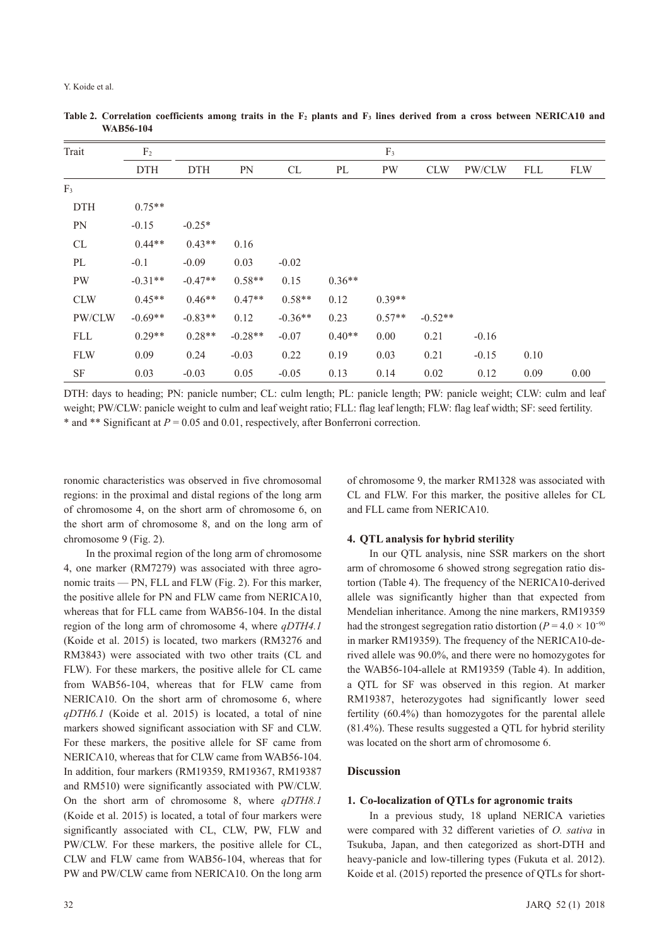| Trait          | F <sub>2</sub> | F <sub>3</sub> |           |           |          |          |            |         |            |            |
|----------------|----------------|----------------|-----------|-----------|----------|----------|------------|---------|------------|------------|
|                | <b>DTH</b>     | <b>DTH</b>     | PN        | CL        | $\rm PL$ | PW       | <b>CLW</b> | PW/CLW  | <b>FLL</b> | <b>FLW</b> |
| F <sub>3</sub> |                |                |           |           |          |          |            |         |            |            |
| <b>DTH</b>     | $0.75**$       |                |           |           |          |          |            |         |            |            |
| <b>PN</b>      | $-0.15$        | $-0.25*$       |           |           |          |          |            |         |            |            |
| CL             | $0.44**$       | $0.43**$       | 0.16      |           |          |          |            |         |            |            |
| PL             | $-0.1$         | $-0.09$        | 0.03      | $-0.02$   |          |          |            |         |            |            |
| <b>PW</b>      | $-0.31**$      | $-0.47**$      | $0.58**$  | 0.15      | $0.36**$ |          |            |         |            |            |
| <b>CLW</b>     | $0.45**$       | $0.46**$       | $0.47**$  | $0.58**$  | 0.12     | $0.39**$ |            |         |            |            |
| PW/CLW         | $-0.69**$      | $-0.83**$      | 0.12      | $-0.36**$ | 0.23     | $0.57**$ | $-0.52**$  |         |            |            |
| <b>FLL</b>     | $0.29**$       | $0.28**$       | $-0.28**$ | $-0.07$   | $0.40**$ | 0.00     | 0.21       | $-0.16$ |            |            |
| <b>FLW</b>     | 0.09           | 0.24           | $-0.03$   | 0.22      | 0.19     | 0.03     | 0.21       | $-0.15$ | 0.10       |            |
| SF             | 0.03           | $-0.03$        | 0.05      | $-0.05$   | 0.13     | 0.14     | 0.02       | 0.12    | 0.09       | 0.00       |

Table 2. Correlation coefficients among traits in the  $F_2$  plants and  $F_3$  lines derived from a cross between NERICA10 and **WAB56-104**

DTH: days to heading; PN: panicle number; CL: culm length; PL: panicle length; PW: panicle weight; CLW: culm and leaf weight; PW/CLW: panicle weight to culm and leaf weight ratio; FLL: flag leaf length; FLW: flag leaf width; SF: seed fertility. \* and \*\* Significant at *P* = 0.05 and 0.01, respectively, after Bonferroni correction.

ronomic characteristics was observed in five chromosomal regions: in the proximal and distal regions of the long arm of chromosome 4, on the short arm of chromosome 6, on the short arm of chromosome 8, and on the long arm of chromosome 9 (Fig. 2).

In the proximal region of the long arm of chromosome 4, one marker (RM7279) was associated with three agronomic traits — PN, FLL and FLW (Fig. 2). For this marker, the positive allele for PN and FLW came from NERICA10, whereas that for FLL came from WAB56-104. In the distal region of the long arm of chromosome 4, where *qDTH4.1* (Koide et al. 2015) is located, two markers (RM3276 and RM3843) were associated with two other traits (CL and FLW). For these markers, the positive allele for CL came from WAB56-104, whereas that for FLW came from NERICA10. On the short arm of chromosome 6, where *qDTH6.1* (Koide et al. 2015) is located, a total of nine markers showed significant association with SF and CLW. For these markers, the positive allele for SF came from NERICA10, whereas that for CLW came from WAB56-104. In addition, four markers (RM19359, RM19367, RM19387 and RM510) were significantly associated with PW/CLW. On the short arm of chromosome 8, where *qDTH8.1* (Koide et al. 2015) is located, a total of four markers were significantly associated with CL, CLW, PW, FLW and PW/CLW. For these markers, the positive allele for CL, CLW and FLW came from WAB56-104, whereas that for PW and PW/CLW came from NERICA10. On the long arm

of chromosome 9, the marker RM1328 was associated with CL and FLW. For this marker, the positive alleles for CL and FLL came from NERICA10.

# **4. QTL analysis for hybrid sterility**

In our QTL analysis, nine SSR markers on the short arm of chromosome 6 showed strong segregation ratio distortion (Table 4). The frequency of the NERICA10-derived allele was significantly higher than that expected from Mendelian inheritance. Among the nine markers, RM19359 had the strongest segregation ratio distortion ( $P = 4.0 \times 10^{-90}$ ) in marker RM19359). The frequency of the NERICA10-derived allele was 90.0%, and there were no homozygotes for the WAB56-104-allele at RM19359 (Table 4). In addition, a QTL for SF was observed in this region. At marker RM19387, heterozygotes had significantly lower seed fertility (60.4%) than homozygotes for the parental allele (81.4%). These results suggested a QTL for hybrid sterility was located on the short arm of chromosome 6.

# **Discussion**

# **1. Co-localization of QTLs for agronomic traits**

In a previous study, 18 upland NERICA varieties were compared with 32 different varieties of *O. sativa* in Tsukuba, Japan, and then categorized as short-DTH and heavy-panicle and low-tillering types (Fukuta et al. 2012). Koide et al. (2015) reported the presence of QTLs for short-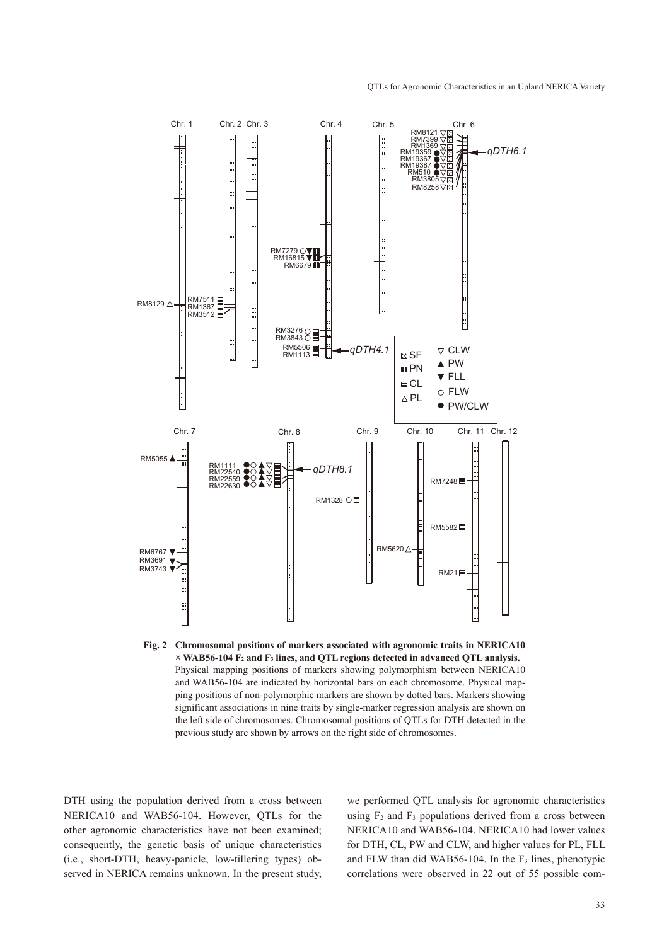

**Fig. 2 Chromosomal positions of markers associated with agronomic traits in NERICA10 × WAB56-104 F2 and F3 lines, and QTL regions detected in advanced QTL analysis.** Physical mapping positions of markers showing polymorphism between NERICA10 and WAB56-104 are indicated by horizontal bars on each chromosome. Physical mapping positions of non-polymorphic markers are shown by dotted bars. Markers showing significant associations in nine traits by single-marker regression analysis are shown on the left side of chromosomes. Chromosomal positions of QTLs for DTH detected in the previous study are shown by arrows on the right side of chromosomes.

DTH using the population derived from a cross between NERICA10 and WAB56-104. However, QTLs for the other agronomic characteristics have not been examined; consequently, the genetic basis of unique characteristics (i.e., short-DTH, heavy-panicle, low-tillering types) observed in NERICA remains unknown. In the present study, we performed QTL analysis for agronomic characteristics using  $F_2$  and  $F_3$  populations derived from a cross between NERICA10 and WAB56-104. NERICA10 had lower values for DTH, CL, PW and CLW, and higher values for PL, FLL and FLW than did WAB56-104. In the  $F_3$  lines, phenotypic correlations were observed in 22 out of 55 possible com-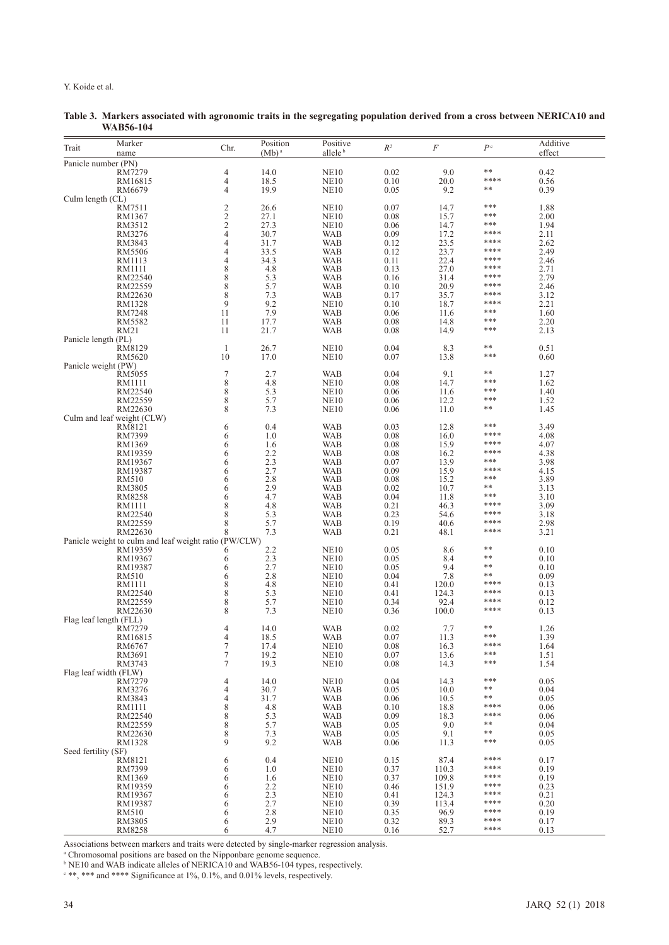| Trait | Marker<br>name                                        | Chr.                                  | Position<br>$(Mb)^a$ | Positive<br>allele <sup>b</sup>      | $R^2$        | F            | P <sup>c</sup> | Additive<br>effect |
|-------|-------------------------------------------------------|---------------------------------------|----------------------|--------------------------------------|--------------|--------------|----------------|--------------------|
|       | Panicle number (PN)                                   |                                       |                      |                                      |              |              |                |                    |
|       | RM7279                                                | 4                                     | 14.0                 | <b>NE10</b>                          | 0.02         | 9.0          | **             | 0.42               |
|       | RM16815                                               | 4                                     | 18.5                 | <b>NE10</b>                          | 0.10         | 20.0         | ****           | 0.56               |
|       | RM6679                                                | $\overline{4}$                        | 19.9                 | <b>NE10</b>                          | 0.05         | 9.2          | **             | 0.39               |
|       | Culm length (CL)                                      |                                       |                      |                                      |              |              | ***            |                    |
|       | RM7511<br>RM1367                                      | $\overline{c}$<br>$\sqrt{2}$          | 26.6<br>27.1         | NE <sub>10</sub><br>NE <sub>10</sub> | 0.07<br>0.08 | 14.7<br>15.7 | ***            | 1.88<br>2.00       |
|       | RM3512                                                |                                       | 27.3                 | NE <sub>10</sub>                     | 0.06         | 14.7         | ***            | 1.94               |
|       | RM3276                                                | $\frac{2}{4}$                         | 30.7                 | WAB                                  | 0.09         | 17.2         | ****           | 2.11               |
|       | RM3843                                                | $\overline{4}$                        | 31.7                 | <b>WAB</b>                           | 0.12         | 23.5         | ****           | 2.62               |
|       | <b>RM5506</b>                                         | 4                                     | 33.5                 | WAB                                  | 0.12         | 23.7         | ****           | 2.49               |
|       | RM1113                                                | $\overline{4}$                        | 34.3                 | WAB                                  | 0.11         | 22.4         | ****           | 2.46               |
|       | RM1111                                                | $\,$ 8 $\,$                           | 4.8                  | <b>WAB</b>                           | 0.13         | 27.0         | ****           | 2.71               |
|       | RM22540                                               | $\,$ $\,$                             | 5.3<br>5.7           | <b>WAB</b>                           | 0.16         | 31.4<br>20.9 | ****<br>****   | 2.79               |
|       | RM22559<br>RM22630                                    | $\,$ 8 $\,$<br>$\,$ 8 $\,$            | 7.3                  | <b>WAB</b><br>WAB                    | 0.10<br>0.17 | 35.7         | ****           | 2.46<br>3.12       |
|       | RM1328                                                | 9                                     | 9.2                  | NE <sub>10</sub>                     | 0.10         | 18.7         | ****           | 2.21               |
|       | RM7248                                                | 11                                    | 7.9                  | WAB                                  | 0.06         | 11.6         | ***            | 1.60               |
|       | RM5582                                                | 11                                    | 17.7                 | <b>WAB</b>                           | 0.08         | 14.8         | ***            | 2.20               |
|       | RM21                                                  | 11                                    | 21.7                 | WAB                                  | 0.08         | 14.9         | ***            | 2.13               |
|       | Panicle length (PL)                                   |                                       |                      |                                      |              |              |                |                    |
|       | RM8129                                                | $\mathbf{1}$                          | 26.7                 | NE <sub>10</sub>                     | 0.04         | 8.3          | **             | 0.51               |
|       | RM5620                                                | 10                                    | 17.0                 | <b>NE10</b>                          | 0.07         | 13.8         | ***            | 0.60               |
|       | Panicle weight (PW)                                   |                                       |                      |                                      |              |              | **             |                    |
|       | RM5055<br>RM1111                                      | 7<br>8                                | 2.7<br>4.8           | WAB<br>NE <sub>10</sub>              | 0.04<br>0.08 | 9.1<br>14.7  | ***            | 1.27<br>1.62       |
|       | RM22540                                               |                                       | 5.3                  | NE <sub>10</sub>                     | 0.06         | 11.6         | ***            | 1.40               |
|       | RM22559                                               | $_{8}^8$                              | 5.7                  | NE <sub>10</sub>                     | 0.06         | 12.2         | ***            | 1.52               |
|       | RM22630                                               | 8                                     | 7.3                  | <b>NE10</b>                          | 0.06         | 11.0         | **             | 1.45               |
|       | Culm and leaf weight (CLW)                            |                                       |                      |                                      |              |              |                |                    |
|       | RM8121                                                | 6                                     | 0.4                  | WAB                                  | 0.03         | 12.8         | ***            | 3.49               |
|       | RM7399                                                | 6                                     | 1.0                  | <b>WAB</b>                           | 0.08         | 16.0         | ****           | 4.08               |
|       | RM1369                                                | 6                                     | 1.6                  | <b>WAB</b>                           | 0.08         | 15.9         | ****           | 4.07               |
|       | RM19359                                               | 6                                     | 2.2                  | <b>WAB</b>                           | 0.08         | 16.2         | ****<br>***    | 4.38               |
|       | RM19367                                               | 6                                     | 2.3                  | <b>WAB</b>                           | 0.07         | 13.9         | ****           | 3.98               |
|       | RM19387<br>RM510                                      | 6<br>6                                | 2.7<br>2.8           | WAB<br><b>WAB</b>                    | 0.09<br>0.08 | 15.9<br>15.2 | ***            | 4.15<br>3.89       |
|       | RM3805                                                | 6                                     | 2.9                  | <b>WAB</b>                           | 0.02         | 10.7         | **             | 3.13               |
|       | RM8258                                                | 6                                     | 4.7                  | WAB                                  | 0.04         | 11.8         | ***            | 3.10               |
|       | RM1111                                                | 8                                     | 4.8                  | WAB                                  | 0.21         | 46.3         | ****           | 3.09               |
|       | RM22540                                               | $\,$ 8 $\,$                           | 5.3                  | <b>WAB</b>                           | 0.23         | 54.6         | ****           | 3.18               |
|       | RM22559                                               | 8                                     | 5.7                  | WAB                                  | 0.19         | 40.6         | ****           | 2.98               |
|       | RM22630                                               | 8                                     | 7.3                  | <b>WAB</b>                           | 0.21         | 48.1         | ****           | 3.21               |
|       | Panicle weight to culm and leaf weight ratio (PW/CLW) |                                       |                      |                                      |              |              |                |                    |
|       | RM19359                                               | 6                                     | 2.2                  | NE <sub>10</sub>                     | 0.05         | 8.6          | **<br>**       | 0.10               |
|       | RM19367                                               | 6                                     | 2.3<br>2.7           | NE <sub>10</sub>                     | 0.05         | 8.4<br>9.4   | **             | 0.10               |
|       | RM19387<br><b>RM510</b>                               | 6<br>6                                | 2.8                  | NE <sub>10</sub><br><b>NE10</b>      | 0.05<br>0.04 | 7.8          | **             | 0.10<br>0.09       |
|       | RM1111                                                | 8                                     | 4.8                  | NE <sub>10</sub>                     | 0.41         | 120.0        | ****           | 0.13               |
|       | RM22540                                               | $\,$ 8 $\,$                           | 5.3                  | NE <sub>10</sub>                     | 0.41         | 124.3        | ****           | 0.13               |
|       | RM22559                                               | $\,$ 8 $\,$                           | 5.7                  | NE <sub>10</sub>                     | 0.34         | 92.4         | ****           | 0.12               |
|       | RM22630                                               | 8                                     | 7.3                  | NE <sub>10</sub>                     | 0.36         | 100.0        | ****           | 0.13               |
|       | Flag leaf length (FLL)                                |                                       |                      |                                      |              |              |                |                    |
|       | RM7279                                                | 4                                     | 14.0                 | WAB                                  | 0.02         | 7.7          | **<br>***      | 1.26               |
|       | RM16815                                               | 4                                     | 18.5                 | WAB                                  | 0.07         | 11.3         | ****           | 1.39               |
|       | RM6767<br>RM3691                                      | $\frac{7}{7}$                         | 17.4<br>19.2         | <b>NE10</b><br><b>NE10</b>           | 0.08<br>0.07 | 16.3<br>13.6 | ***            | 1.64<br>1.51       |
|       | RM3743                                                | 7                                     | 19.3                 | <b>NE10</b>                          | 0.08         | 14.3         | ***            | 1.54               |
|       | Flag leaf width (FLW)                                 |                                       |                      |                                      |              |              |                |                    |
|       | RM7279                                                | 4                                     | 14.0                 | NE <sub>10</sub>                     | 0.04         | 14.3         | ***            | 0.05               |
|       | RM3276                                                | 4                                     | 30.7                 | WAB                                  | 0.05         | 10.0         | **             | 0.04               |
|       | RM3843                                                | 4                                     | 31.7                 | <b>WAB</b>                           | 0.06         | 10.5         | **             | 0.05               |
|       | RM1111                                                | $\,$ 8 $\,$                           | 4.8                  | <b>WAB</b>                           | 0.10         | 18.8         | ****           | 0.06               |
|       | RM22540                                               | $\begin{array}{c} 8 \\ 8 \end{array}$ | 5.3                  | <b>WAB</b>                           | 0.09         | 18.3         | ****           | 0.06               |
|       | RM22559                                               |                                       | 5.7                  | <b>WAB</b>                           | 0.05         | 9.0          | **<br>**       | 0.04               |
|       | RM22630                                               | $\boldsymbol{8}$<br>9                 | 7.3                  | <b>WAB</b>                           | 0.05         | 9.1          | ***            | 0.05               |
|       | RM1328<br>Seed fertility (SF)                         |                                       | 9.2                  | <b>WAB</b>                           | 0.06         | 11.3         |                | 0.05               |
|       | RM8121                                                | 6                                     | 0.4                  | <b>NE10</b>                          | 0.15         | 87.4         | ****           | 0.17               |
|       | RM7399                                                | 6                                     | 1.0                  | <b>NE10</b>                          | 0.37         | 110.3        | ****           | 0.19               |
|       | RM1369                                                | 6                                     | 1.6                  | <b>NE10</b>                          | 0.37         | 109.8        | ****           | 0.19               |
|       | RM19359                                               | 6                                     | 2.2                  | NE <sub>10</sub>                     | 0.46         | 151.9        | ****           | 0.23               |
|       | RM19367                                               | 6                                     | 2.3                  | <b>NE10</b>                          | 0.41         | 124.3        | ****           | 0.21               |
|       | RM19387                                               | 6                                     | 2.7                  | NE <sub>10</sub>                     | 0.39         | 113.4        | ****           | 0.20               |
|       | RM510                                                 | 6                                     | 2.8                  | NE <sub>10</sub>                     | 0.35         | 96.9         | ****           | 0.19               |
|       | RM3805<br>RM8258                                      | 6<br>6                                | $^{2.9}_{4.7}$       | <b>NE10</b>                          | 0.32<br>0.16 | 89.3<br>52.7 | ****<br>****   | 0.17<br>0.13       |
|       |                                                       |                                       |                      | NE <sub>10</sub>                     |              |              |                |                    |

**Table 3. Markers associated with agronomic traits in the segregating population derived from a cross between NERICA10 and WAB56-104**

Associations between markers and traits were detected by single-marker regression analysis.

<sup>a</sup> Chromosomal positions are based on the Nipponbare genome sequence.<br><sup>b</sup> NE10 and WAB indicate alleles of NERICA10 and WAB56-104 types, respectively.<br><sup>c \*\*</sup>, \*\*\* and \*\*\*\* Significance at 1%, 0.1%, and 0.01% levels, respe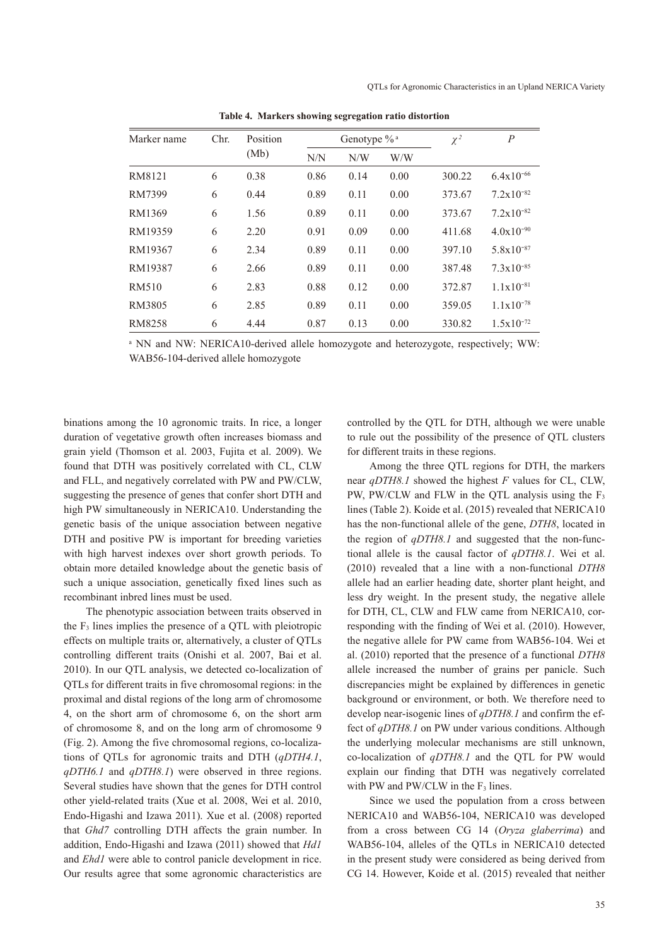| Marker name | Chr. | Position<br>(Mb) |      | Genotype % <sup>a</sup> |      | $\chi^2$ | $\boldsymbol{P}$      |
|-------------|------|------------------|------|-------------------------|------|----------|-----------------------|
|             |      |                  | N/N  | N/W                     | W/W  |          |                       |
| RM8121      | 6    | 0.38             | 0.86 | 0.14                    | 0.00 | 300.22   | $6.4x10^{-66}$        |
| RM7399      | 6    | 0.44             | 0.89 | 0.11                    | 0.00 | 373.67   | $7.2 \times 10^{-82}$ |
| RM1369      | 6    | 1.56             | 0.89 | 0.11                    | 0.00 | 373.67   | $7.2 \times 10^{-82}$ |
| RM19359     | 6    | 2.20             | 0.91 | 0.09                    | 0.00 | 411.68   | $4.0x10^{-90}$        |
| RM19367     | 6    | 2.34             | 0.89 | 0.11                    | 0.00 | 397.10   | $5.8x10^{-87}$        |
| RM19387     | 6    | 2.66             | 0.89 | 0.11                    | 0.00 | 387.48   | $7.3 \times 10^{-85}$ |
| RM510       | 6    | 2.83             | 0.88 | 0.12                    | 0.00 | 372.87   | $1.1 \times 10^{-81}$ |
| RM3805      | 6    | 2.85             | 0.89 | 0.11                    | 0.00 | 359.05   | $1.1x10^{-78}$        |
| RM8258      | 6    | 4.44             | 0.87 | 0.13                    | 0.00 | 330.82   | $1.5x10^{-72}$        |
|             |      |                  |      |                         |      |          |                       |

**Table 4. Markers showing segregation ratio distortion**

a NN and NW: NERICA10-derived allele homozygote and heterozygote, respectively; WW: WAB56-104-derived allele homozygote

binations among the 10 agronomic traits. In rice, a longer duration of vegetative growth often increases biomass and grain yield (Thomson et al. 2003, Fujita et al. 2009). We found that DTH was positively correlated with CL, CLW and FLL, and negatively correlated with PW and PW/CLW, suggesting the presence of genes that confer short DTH and high PW simultaneously in NERICA10. Understanding the genetic basis of the unique association between negative DTH and positive PW is important for breeding varieties with high harvest indexes over short growth periods. To obtain more detailed knowledge about the genetic basis of such a unique association, genetically fixed lines such as recombinant inbred lines must be used.

The phenotypic association between traits observed in the F3 lines implies the presence of a QTL with pleiotropic effects on multiple traits or, alternatively, a cluster of QTLs controlling different traits (Onishi et al. 2007, Bai et al. 2010). In our QTL analysis, we detected co-localization of QTLs for different traits in five chromosomal regions: in the proximal and distal regions of the long arm of chromosome 4, on the short arm of chromosome 6, on the short arm of chromosome 8, and on the long arm of chromosome 9 (Fig. 2). Among the five chromosomal regions, co-localizations of QTLs for agronomic traits and DTH (*qDTH4.1*, *qDTH6.1* and *qDTH8.1*) were observed in three regions. Several studies have shown that the genes for DTH control other yield-related traits (Xue et al. 2008, Wei et al. 2010, Endo-Higashi and Izawa 2011). Xue et al. (2008) reported that *Ghd7* controlling DTH affects the grain number. In addition, Endo-Higashi and Izawa (2011) showed that *Hd1* and *Ehd1* were able to control panicle development in rice. Our results agree that some agronomic characteristics are

controlled by the QTL for DTH, although we were unable to rule out the possibility of the presence of QTL clusters for different traits in these regions.

Among the three QTL regions for DTH, the markers near *qDTH8.1* showed the highest *F* values for CL, CLW, PW, PW/CLW and FLW in the QTL analysis using the F<sub>3</sub> lines (Table 2). Koide et al. (2015) revealed that NERICA10 has the non-functional allele of the gene, *DTH8*, located in the region of *qDTH8.1* and suggested that the non-functional allele is the causal factor of *qDTH8.1*. Wei et al. (2010) revealed that a line with a non-functional *DTH8* allele had an earlier heading date, shorter plant height, and less dry weight. In the present study, the negative allele for DTH, CL, CLW and FLW came from NERICA10, corresponding with the finding of Wei et al. (2010). However, the negative allele for PW came from WAB56-104. Wei et al. (2010) reported that the presence of a functional *DTH8* allele increased the number of grains per panicle. Such discrepancies might be explained by differences in genetic background or environment, or both. We therefore need to develop near-isogenic lines of *qDTH8.1* and confirm the effect of *qDTH8.1* on PW under various conditions. Although the underlying molecular mechanisms are still unknown, co-localization of *qDTH8.1* and the QTL for PW would explain our finding that DTH was negatively correlated with PW and PW/CLW in the  $F_3$  lines.

Since we used the population from a cross between NERICA10 and WAB56-104, NERICA10 was developed from a cross between CG 14 (*Oryza glaberrima*) and WAB56-104, alleles of the QTLs in NERICA10 detected in the present study were considered as being derived from CG 14. However, Koide et al. (2015) revealed that neither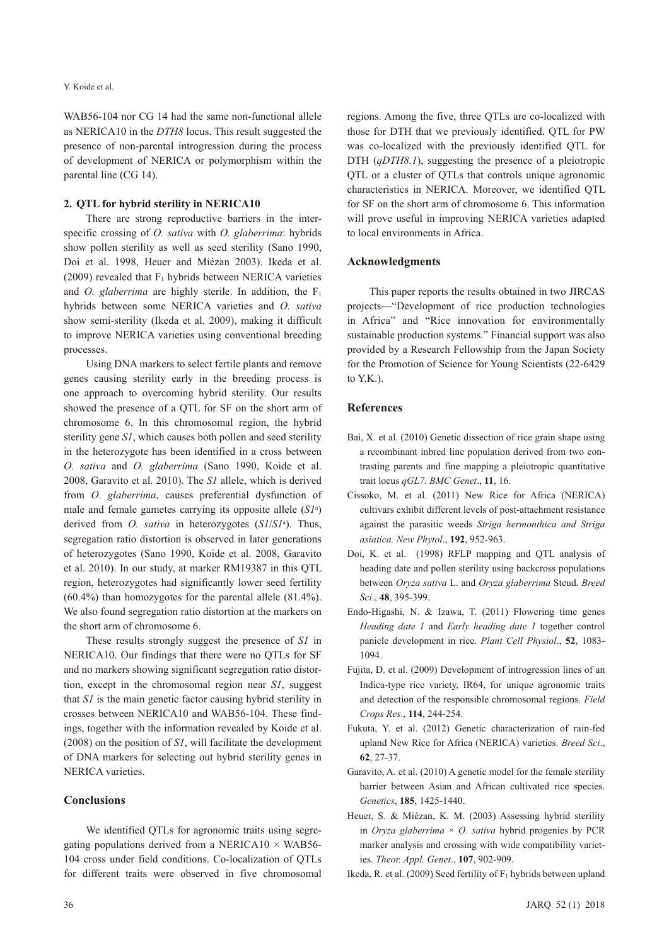WAB56-104 nor CG 14 had the same non-functional allele as NERICA10 in the *DTH8* locus. This result suggested the presence of non-parental introgression during the process of development of NERICA or polymorphism within the parental line (CG 14).

#### **2. QTL for hybrid sterility in NERICA10**

There are strong reproductive barriers in the interspecific crossing of *O. sativa* with *O. glaberrima*: hybrids show pollen sterility as well as seed sterility (Sano 1990, Doi et al. 1998, Heuer and Miézan 2003). Ikeda et al. (2009) revealed that  $F_1$  hybrids between NERICA varieties and *O. glaberrima* are highly sterile. In addition, the  $F_1$ hybrids between some NERICA varieties and *O. sativa* show semi-sterility (Ikeda et al. 2009), making it difficult to improve NERICA varieties using conventional breeding processes.

Using DNA markers to select fertile plants and remove genes causing sterility early in the breeding process is one approach to overcoming hybrid sterility. Our results showed the presence of a QTL for SF on the short arm of chromosome 6. In this chromosomal region, the hybrid sterility gene *S1*, which causes both pollen and seed sterility in the heterozygote has been identified in a cross between *O. sativa* and *O. glaberrima* (Sano 1990, Koide et al. 2008, Garavito et al. 2010). The *S1* allele, which is derived from *O. glaberrima*, causes preferential dysfunction of male and female gametes carrying its opposite allele (*S1*<sup>a</sup> ) derived from *O. sativa* in heterozygotes (*S1*/*S1*<sup>a</sup> ). Thus, segregation ratio distortion is observed in later generations of heterozygotes (Sano 1990, Koide et al. 2008, Garavito et al. 2010). In our study, at marker RM19387 in this QTL region, heterozygotes had significantly lower seed fertility (60.4%) than homozygotes for the parental allele (81.4%). We also found segregation ratio distortion at the markers on the short arm of chromosome 6.

These results strongly suggest the presence of *S1* in NERICA10. Our findings that there were no QTLs for SF and no markers showing significant segregation ratio distortion, except in the chromosomal region near *S1*, suggest that *S1* is the main genetic factor causing hybrid sterility in crosses between NERICA10 and WAB56-104. These findings, together with the information revealed by Koide et al. (2008) on the position of *S1*, will facilitate the development of DNA markers for selecting out hybrid sterility genes in NERICA varieties.

## **Conclusions**

We identified QTLs for agronomic traits using segregating populations derived from a NERICA10  $\times$  WAB56-104 cross under field conditions. Co-localization of QTLs for different traits were observed in five chromosomal regions. Among the five, three QTLs are co-localized with those for DTH that we previously identified. QTL for PW was co-localized with the previously identified QTL for DTH (*qDTH8.1*), suggesting the presence of a pleiotropic QTL or a cluster of QTLs that controls unique agronomic characteristics in NERICA. Moreover, we identified QTL for SF on the short arm of chromosome 6. This information will prove useful in improving NERICA varieties adapted to local environments in Africa.

#### **Acknowledgments**

This paper reports the results obtained in two JIRCAS projects—"Development of rice production technologies in Africa" and "Rice innovation for environmentally sustainable production systems." Financial support was also provided by a Research Fellowship from the Japan Society for the Promotion of Science for Young Scientists (22-6429 to  $YK$ ).

### **References**

- Bai, X. et al. (2010) Genetic dissection of rice grain shape using a recombinant inbred line population derived from two contrasting parents and fine mapping a pleiotropic quantitative trait locus *qGL7. BMC Genet*., **11**, 16.
- Cissoko, M. et al. (2011) New Rice for Africa (NERICA) cultivars exhibit different levels of post-attachment resistance against the parasitic weeds *Striga hermonthica and Striga asiatica. New Phytol*., **192**, 952-963.
- Doi, K. et al. (1998) RFLP mapping and QTL analysis of heading date and pollen sterility using backcross populations between *Oryza sativa* L. and *Oryza glaberrima* Steud. *Breed Sci*., **48**, 395-399.
- Endo-Higashi, N. & Izawa, T. (2011) Flowering time genes *Heading date 1* and *Early heading date 1* together control panicle development in rice. *Plant Cell Physiol*., **52**, 1083- 1094.
- Fujita, D. et al. (2009) Development of introgression lines of an Indica-type rice variety, IR64, for unique agronomic traits and detection of the responsible chromosomal regions. *Field Crops Res*., **114**, 244-254.
- Fukuta, Y. et al. (2012) Genetic characterization of rain-fed upland New Rice for Africa (NERICA) varieties. *Breed Sci*., **62**, 27-37.
- Garavito, A. et al. (2010) A genetic model for the female sterility barrier between Asian and African cultivated rice species. *Genetics*, **185**, 1425-1440.
- Heuer, S. & Miézan, K. M. (2003) Assessing hybrid sterility in *Oryza glaberrima* × *O. sativa* hybrid progenies by PCR marker analysis and crossing with wide compatibility varieties. *Theor. Appl. Genet*., **107**, 902-909.
- Ikeda, R. et al. (2009) Seed fertility of  $F_1$  hybrids between upland